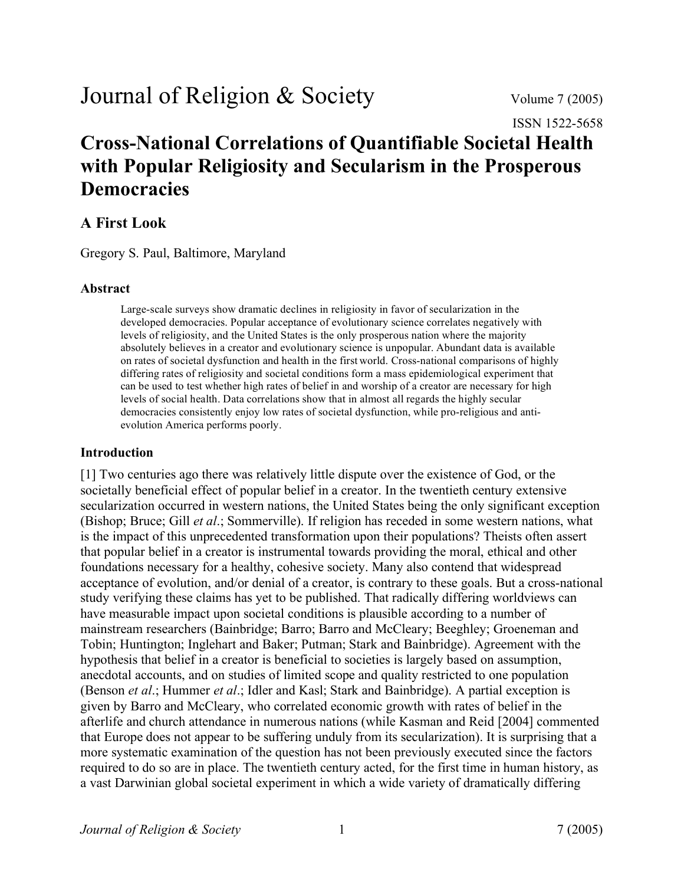# Journal of Religion & Society Volume 7 (2005)

ISSN 1522-5658

# **Cross-National Correlations of Quantifiable Societal Health with Popular Religiosity and Secularism in the Prosperous Democracies**

# **A First Look**

Gregory S. Paul, Baltimore, Maryland

# **Abstract**

Large-scale surveys show dramatic declines in religiosity in favor of secularization in the developed democracies. Popular acceptance of evolutionary science correlates negatively with levels of religiosity, and the United States is the only prosperous nation where the majority absolutely believes in a creator and evolutionary science is unpopular. Abundant data is available on rates of societal dysfunction and health in the first world. Cross-national comparisons of highly differing rates of religiosity and societal conditions form a mass epidemiological experiment that can be used to test whether high rates of belief in and worship of a creator are necessary for high levels of social health. Data correlations show that in almost all regards the highly secular democracies consistently enjoy low rates of societal dysfunction, while pro-religious and antievolution America performs poorly.

# **Introduction**

[1] Two centuries ago there was relatively little dispute over the existence of God, or the societally beneficial effect of popular belief in a creator. In the twentieth century extensive secularization occurred in western nations, the United States being the only significant exception (Bishop; Bruce; Gill *et al*.; Sommerville). If religion has receded in some western nations, what is the impact of this unprecedented transformation upon their populations? Theists often assert that popular belief in a creator is instrumental towards providing the moral, ethical and other foundations necessary for a healthy, cohesive society. Many also contend that widespread acceptance of evolution, and/or denial of a creator, is contrary to these goals. But a cross-national study verifying these claims has yet to be published. That radically differing worldviews can have measurable impact upon societal conditions is plausible according to a number of mainstream researchers (Bainbridge; Barro; Barro and McCleary; Beeghley; Groeneman and Tobin; Huntington; Inglehart and Baker; Putman; Stark and Bainbridge). Agreement with the hypothesis that belief in a creator is beneficial to societies is largely based on assumption, anecdotal accounts, and on studies of limited scope and quality restricted to one population (Benson *et al*.; Hummer *et al*.; Idler and Kasl; Stark and Bainbridge). A partial exception is given by Barro and McCleary, who correlated economic growth with rates of belief in the afterlife and church attendance in numerous nations (while Kasman and Reid [2004] commented that Europe does not appear to be suffering unduly from its secularization). It is surprising that a more systematic examination of the question has not been previously executed since the factors required to do so are in place. The twentieth century acted, for the first time in human history, as a vast Darwinian global societal experiment in which a wide variety of dramatically differing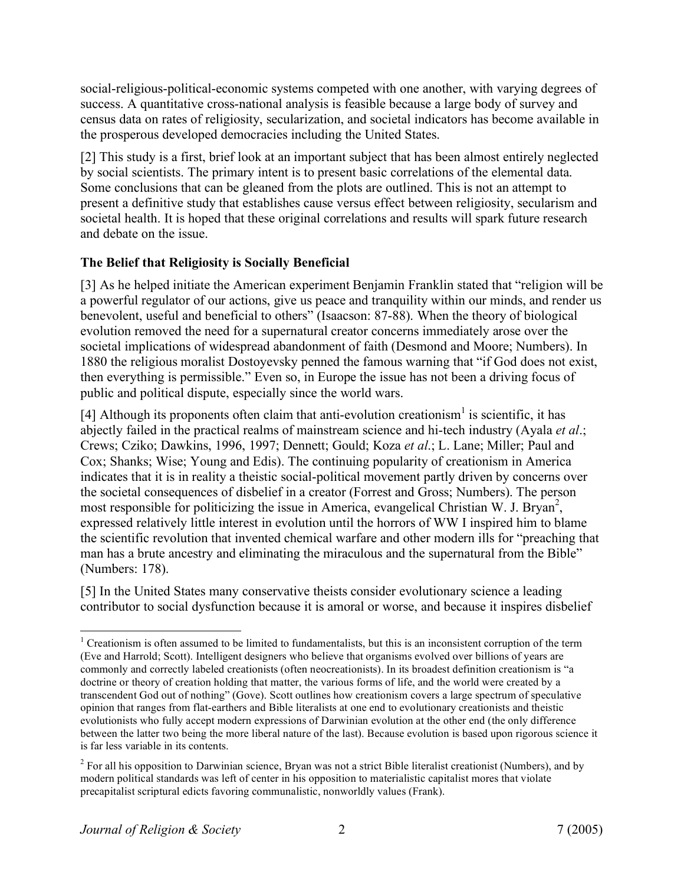social-religious-political-economic systems competed with one another, with varying degrees of success. A quantitative cross-national analysis is feasible because a large body of survey and census data on rates of religiosity, secularization, and societal indicators has become available in the prosperous developed democracies including the United States.

[2] This study is a first, brief look at an important subject that has been almost entirely neglected by social scientists. The primary intent is to present basic correlations of the elemental data. Some conclusions that can be gleaned from the plots are outlined. This is not an attempt to present a definitive study that establishes cause versus effect between religiosity, secularism and societal health. It is hoped that these original correlations and results will spark future research and debate on the issue.

# **The Belief that Religiosity is Socially Beneficial**

[3] As he helped initiate the American experiment Benjamin Franklin stated that "religion will be a powerful regulator of our actions, give us peace and tranquility within our minds, and render us benevolent, useful and beneficial to others" (Isaacson: 87-88). When the theory of biological evolution removed the need for a supernatural creator concerns immediately arose over the societal implications of widespread abandonment of faith (Desmond and Moore; Numbers). In 1880 the religious moralist Dostoyevsky penned the famous warning that "if God does not exist, then everything is permissible." Even so, in Europe the issue has not been a driving focus of public and political dispute, especially since the world wars.

[4] Although its proponents often claim that anti-evolution creationism<sup>1</sup> is scientific, it has abjectly failed in the practical realms of mainstream science and hi-tech industry (Ayala *et al*.; Crews; Cziko; Dawkins, 1996, 1997; Dennett; Gould; Koza *et al*.; L. Lane; Miller; Paul and Cox; Shanks; Wise; Young and Edis). The continuing popularity of creationism in America indicates that it is in reality a theistic social-political movement partly driven by concerns over the societal consequences of disbelief in a creator (Forrest and Gross; Numbers). The person most responsible for politicizing the issue in America, evangelical Christian W. J. Bryan<sup>2</sup>, expressed relatively little interest in evolution until the horrors of WW I inspired him to blame the scientific revolution that invented chemical warfare and other modern ills for "preaching that man has a brute ancestry and eliminating the miraculous and the supernatural from the Bible" (Numbers: 178).

[5] In the United States many conservative theists consider evolutionary science a leading contributor to social dysfunction because it is amoral or worse, and because it inspires disbelief

 $1$  Creationism is often assumed to be limited to fundamentalists, but this is an inconsistent corruption of the term (Eve and Harrold; Scott). Intelligent designers who believe that organisms evolved over billions of years are commonly and correctly labeled creationists (often neocreationists). In its broadest definition creationism is "a doctrine or theory of creation holding that matter, the various forms of life, and the world were created by a transcendent God out of nothing" (Gove). Scott outlines how creationism covers a large spectrum of speculative opinion that ranges from flat-earthers and Bible literalists at one end to evolutionary creationists and theistic evolutionists who fully accept modern expressions of Darwinian evolution at the other end (the only difference between the latter two being the more liberal nature of the last). Because evolution is based upon rigorous science it is far less variable in its contents.

 $2$  For all his opposition to Darwinian science, Bryan was not a strict Bible literalist creationist (Numbers), and by modern political standards was left of center in his opposition to materialistic capitalist mores that violate precapitalist scriptural edicts favoring communalistic, nonworldly values (Frank).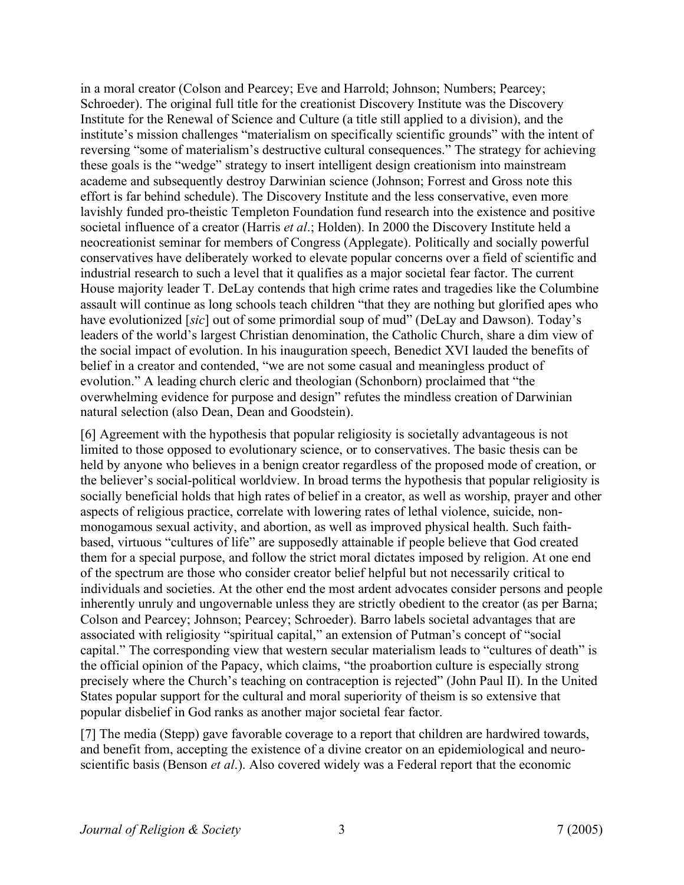in a moral creator (Colson and Pearcey; Eve and Harrold; Johnson; Numbers; Pearcey; Schroeder). The original full title for the creationist Discovery Institute was the Discovery Institute for the Renewal of Science and Culture (a title still applied to a division), and the institute's mission challenges "materialism on specifically scientific grounds" with the intent of reversing "some of materialism's destructive cultural consequences." The strategy for achieving these goals is the "wedge" strategy to insert intelligent design creationism into mainstream academe and subsequently destroy Darwinian science (Johnson; Forrest and Gross note this effort is far behind schedule). The Discovery Institute and the less conservative, even more lavishly funded pro-theistic Templeton Foundation fund research into the existence and positive societal influence of a creator (Harris *et al*.; Holden). In 2000 the Discovery Institute held a neocreationist seminar for members of Congress (Applegate). Politically and socially powerful conservatives have deliberately worked to elevate popular concerns over a field of scientific and industrial research to such a level that it qualifies as a major societal fear factor. The current House majority leader T. DeLay contends that high crime rates and tragedies like the Columbine assault will continue as long schools teach children "that they are nothing but glorified apes who have evolutionized [sic] out of some primordial soup of mud" (DeLay and Dawson). Today's leaders of the world's largest Christian denomination, the Catholic Church, share a dim view of the social impact of evolution. In his inauguration speech, Benedict XVI lauded the benefits of belief in a creator and contended, "we are not some casual and meaningless product of evolution." A leading church cleric and theologian (Schonborn) proclaimed that "the overwhelming evidence for purpose and design" refutes the mindless creation of Darwinian natural selection (also Dean, Dean and Goodstein).

[6] Agreement with the hypothesis that popular religiosity is societally advantageous is not limited to those opposed to evolutionary science, or to conservatives. The basic thesis can be held by anyone who believes in a benign creator regardless of the proposed mode of creation, or the believer's social-political worldview. In broad terms the hypothesis that popular religiosity is socially beneficial holds that high rates of belief in a creator, as well as worship, prayer and other aspects of religious practice, correlate with lowering rates of lethal violence, suicide, nonmonogamous sexual activity, and abortion, as well as improved physical health. Such faithbased, virtuous "cultures of life" are supposedly attainable if people believe that God created them for a special purpose, and follow the strict moral dictates imposed by religion. At one end of the spectrum are those who consider creator belief helpful but not necessarily critical to individuals and societies. At the other end the most ardent advocates consider persons and people inherently unruly and ungovernable unless they are strictly obedient to the creator (as per Barna; Colson and Pearcey; Johnson; Pearcey; Schroeder). Barro labels societal advantages that are associated with religiosity "spiritual capital," an extension of Putman's concept of "social capital." The corresponding view that western secular materialism leads to "cultures of death" is the official opinion of the Papacy, which claims, "the proabortion culture is especially strong precisely where the Church's teaching on contraception is rejected" (John Paul II). In the United States popular support for the cultural and moral superiority of theism is so extensive that popular disbelief in God ranks as another major societal fear factor.

[7] The media (Stepp) gave favorable coverage to a report that children are hardwired towards, and benefit from, accepting the existence of a divine creator on an epidemiological and neuroscientific basis (Benson *et al*.). Also covered widely was a Federal report that the economic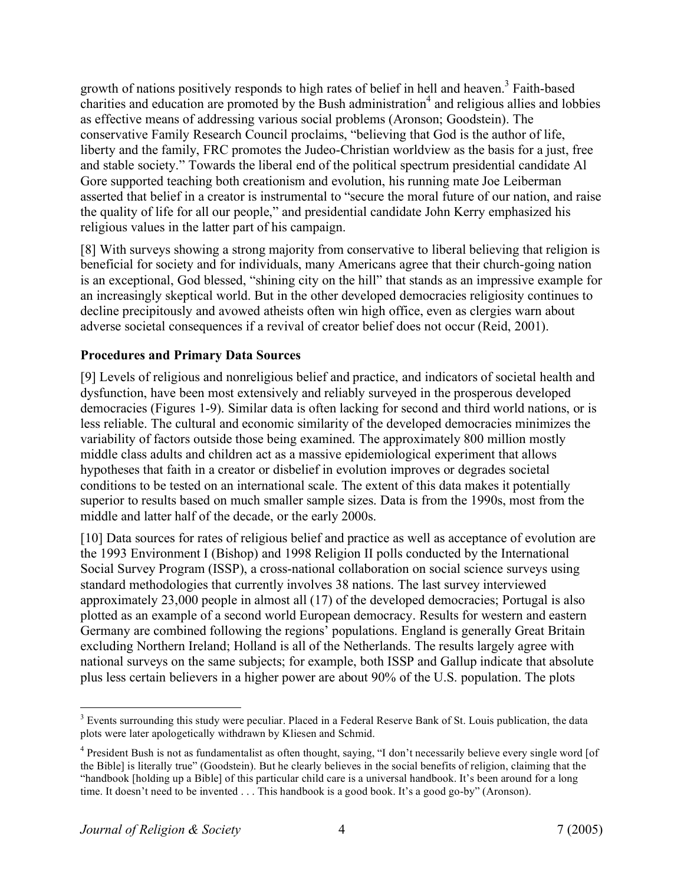growth of nations positively responds to high rates of belief in hell and heaven.3 Faith-based charities and education are promoted by the Bush administration<sup>4</sup> and religious allies and lobbies as effective means of addressing various social problems (Aronson; Goodstein). The conservative Family Research Council proclaims, "believing that God is the author of life, liberty and the family, FRC promotes the Judeo-Christian worldview as the basis for a just, free and stable society." Towards the liberal end of the political spectrum presidential candidate Al Gore supported teaching both creationism and evolution, his running mate Joe Leiberman asserted that belief in a creator is instrumental to "secure the moral future of our nation, and raise the quality of life for all our people," and presidential candidate John Kerry emphasized his religious values in the latter part of his campaign.

[8] With surveys showing a strong majority from conservative to liberal believing that religion is beneficial for society and for individuals, many Americans agree that their church-going nation is an exceptional, God blessed, "shining city on the hill" that stands as an impressive example for an increasingly skeptical world. But in the other developed democracies religiosity continues to decline precipitously and avowed atheists often win high office, even as clergies warn about adverse societal consequences if a revival of creator belief does not occur (Reid, 2001).

# **Procedures and Primary Data Sources**

[9] Levels of religious and nonreligious belief and practice, and indicators of societal health and dysfunction, have been most extensively and reliably surveyed in the prosperous developed democracies (Figures 1-9). Similar data is often lacking for second and third world nations, or is less reliable. The cultural and economic similarity of the developed democracies minimizes the variability of factors outside those being examined. The approximately 800 million mostly middle class adults and children act as a massive epidemiological experiment that allows hypotheses that faith in a creator or disbelief in evolution improves or degrades societal conditions to be tested on an international scale. The extent of this data makes it potentially superior to results based on much smaller sample sizes. Data is from the 1990s, most from the middle and latter half of the decade, or the early 2000s.

[10] Data sources for rates of religious belief and practice as well as acceptance of evolution are the 1993 Environment I (Bishop) and 1998 Religion II polls conducted by the International Social Survey Program (ISSP), a cross-national collaboration on social science surveys using standard methodologies that currently involves 38 nations. The last survey interviewed approximately 23,000 people in almost all (17) of the developed democracies; Portugal is also plotted as an example of a second world European democracy. Results for western and eastern Germany are combined following the regions' populations. England is generally Great Britain excluding Northern Ireland; Holland is all of the Netherlands. The results largely agree with national surveys on the same subjects; for example, both ISSP and Gallup indicate that absolute plus less certain believers in a higher power are about 90% of the U.S. population. The plots

<sup>&</sup>lt;sup>3</sup> Events surrounding this study were peculiar. Placed in a Federal Reserve Bank of St. Louis publication, the data plots were later apologetically withdrawn by Kliesen and Schmid.

<sup>&</sup>lt;sup>4</sup> President Bush is not as fundamentalist as often thought, saying, "I don't necessarily believe every single word [of the Bible] is literally true" (Goodstein). But he clearly believes in the social benefits of religion, claiming that the "handbook [holding up a Bible] of this particular child care is a universal handbook. It's been around for a long time. It doesn't need to be invented . . . This handbook is a good book. It's a good go-by" (Aronson).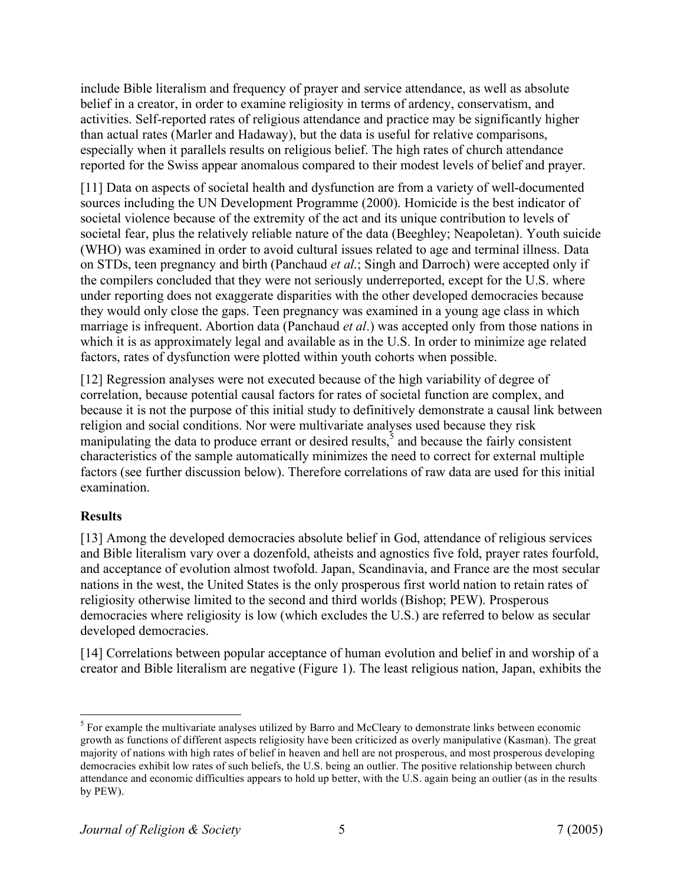include Bible literalism and frequency of prayer and service attendance, as well as absolute belief in a creator, in order to examine religiosity in terms of ardency, conservatism, and activities. Self-reported rates of religious attendance and practice may be significantly higher than actual rates (Marler and Hadaway), but the data is useful for relative comparisons, especially when it parallels results on religious belief. The high rates of church attendance reported for the Swiss appear anomalous compared to their modest levels of belief and prayer.

[11] Data on aspects of societal health and dysfunction are from a variety of well-documented sources including the UN Development Programme (2000). Homicide is the best indicator of societal violence because of the extremity of the act and its unique contribution to levels of societal fear, plus the relatively reliable nature of the data (Beeghley; Neapoletan). Youth suicide (WHO) was examined in order to avoid cultural issues related to age and terminal illness. Data on STDs, teen pregnancy and birth (Panchaud *et al*.; Singh and Darroch) were accepted only if the compilers concluded that they were not seriously underreported, except for the U.S. where under reporting does not exaggerate disparities with the other developed democracies because they would only close the gaps. Teen pregnancy was examined in a young age class in which marriage is infrequent. Abortion data (Panchaud *et al*.) was accepted only from those nations in which it is as approximately legal and available as in the U.S. In order to minimize age related factors, rates of dysfunction were plotted within youth cohorts when possible.

[12] Regression analyses were not executed because of the high variability of degree of correlation, because potential causal factors for rates of societal function are complex, and because it is not the purpose of this initial study to definitively demonstrate a causal link between religion and social conditions. Nor were multivariate analyses used because they risk manipulating the data to produce errant or desired results, $\bar{s}$  and because the fairly consistent characteristics of the sample automatically minimizes the need to correct for external multiple factors (see further discussion below). Therefore correlations of raw data are used for this initial examination.

# **Results**

[13] Among the developed democracies absolute belief in God, attendance of religious services and Bible literalism vary over a dozenfold, atheists and agnostics five fold, prayer rates fourfold, and acceptance of evolution almost twofold. Japan, Scandinavia, and France are the most secular nations in the west, the United States is the only prosperous first world nation to retain rates of religiosity otherwise limited to the second and third worlds (Bishop; PEW). Prosperous democracies where religiosity is low (which excludes the U.S.) are referred to below as secular developed democracies.

[14] Correlations between popular acceptance of human evolution and belief in and worship of a creator and Bible literalism are negative (Figure 1). The least religious nation, Japan, exhibits the

<sup>&</sup>lt;sup>5</sup> For example the multivariate analyses utilized by Barro and McCleary to demonstrate links between economic growth as functions of different aspects religiosity have been criticized as overly manipulative (Kasman). The great majority of nations with high rates of belief in heaven and hell are not prosperous, and most prosperous developing democracies exhibit low rates of such beliefs, the U.S. being an outlier. The positive relationship between church attendance and economic difficulties appears to hold up better, with the U.S. again being an outlier (as in the results by PEW).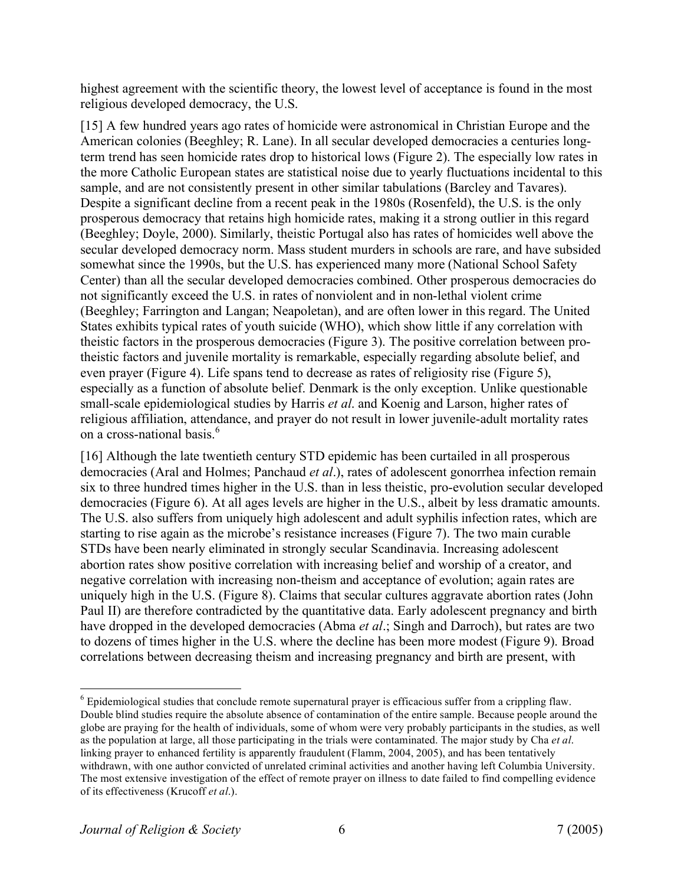highest agreement with the scientific theory, the lowest level of acceptance is found in the most religious developed democracy, the U.S.

[15] A few hundred years ago rates of homicide were astronomical in Christian Europe and the American colonies (Beeghley; R. Lane). In all secular developed democracies a centuries longterm trend has seen homicide rates drop to historical lows (Figure 2). The especially low rates in the more Catholic European states are statistical noise due to yearly fluctuations incidental to this sample, and are not consistently present in other similar tabulations (Barcley and Tavares). Despite a significant decline from a recent peak in the 1980s (Rosenfeld), the U.S. is the only prosperous democracy that retains high homicide rates, making it a strong outlier in this regard (Beeghley; Doyle, 2000). Similarly, theistic Portugal also has rates of homicides well above the secular developed democracy norm. Mass student murders in schools are rare, and have subsided somewhat since the 1990s, but the U.S. has experienced many more (National School Safety Center) than all the secular developed democracies combined. Other prosperous democracies do not significantly exceed the U.S. in rates of nonviolent and in non-lethal violent crime (Beeghley; Farrington and Langan; Neapoletan), and are often lower in this regard. The United States exhibits typical rates of youth suicide (WHO), which show little if any correlation with theistic factors in the prosperous democracies (Figure 3). The positive correlation between protheistic factors and juvenile mortality is remarkable, especially regarding absolute belief, and even prayer (Figure 4). Life spans tend to decrease as rates of religiosity rise (Figure 5), especially as a function of absolute belief. Denmark is the only exception. Unlike questionable small-scale epidemiological studies by Harris *et al*. and Koenig and Larson, higher rates of religious affiliation, attendance, and prayer do not result in lower juvenile-adult mortality rates on a cross-national basis. 6

[16] Although the late twentieth century STD epidemic has been curtailed in all prosperous democracies (Aral and Holmes; Panchaud *et al*.), rates of adolescent gonorrhea infection remain six to three hundred times higher in the U.S. than in less theistic, pro-evolution secular developed democracies (Figure 6). At all ages levels are higher in the U.S., albeit by less dramatic amounts. The U.S. also suffers from uniquely high adolescent and adult syphilis infection rates, which are starting to rise again as the microbe's resistance increases (Figure 7). The two main curable STDs have been nearly eliminated in strongly secular Scandinavia. Increasing adolescent abortion rates show positive correlation with increasing belief and worship of a creator, and negative correlation with increasing non-theism and acceptance of evolution; again rates are uniquely high in the U.S. (Figure 8). Claims that secular cultures aggravate abortion rates (John Paul II) are therefore contradicted by the quantitative data. Early adolescent pregnancy and birth have dropped in the developed democracies (Abma *et al*.; Singh and Darroch), but rates are two to dozens of times higher in the U.S. where the decline has been more modest (Figure 9). Broad correlations between decreasing theism and increasing pregnancy and birth are present, with

 <sup>6</sup> Epidemiological studies that conclude remote supernatural prayer is efficacious suffer from <sup>a</sup> crippling flaw. Double blind studies require the absolute absence of contamination of the entire sample. Because people around the globe are praying for the health of individuals, some of whom were very probably participants in the studies, as well as the population at large, all those participating in the trials were contaminated. The major study by Cha *et al*. linking prayer to enhanced fertility is apparently fraudulent (Flamm, 2004, 2005), and has been tentatively withdrawn, with one author convicted of unrelated criminal activities and another having left Columbia University. The most extensive investigation of the effect of remote prayer on illness to date failed to find compelling evidence of its effectiveness (Krucoff *et al*.).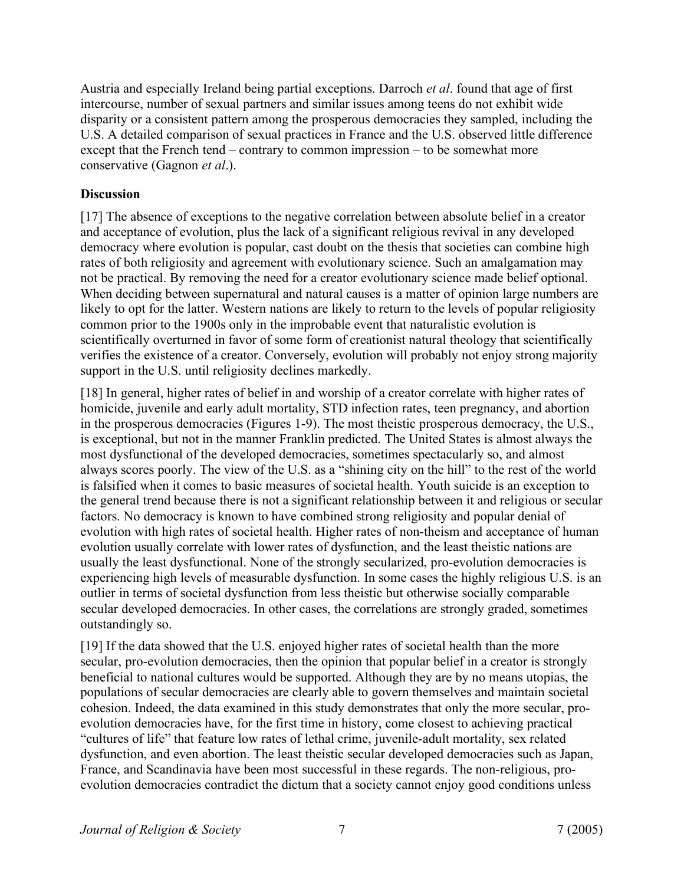Austria and especially Ireland being partial exceptions. Darroch *et al*. found that age of first intercourse, number of sexual partners and similar issues among teens do not exhibit wide disparity or a consistent pattern among the prosperous democracies they sampled, including the U.S. A detailed comparison of sexual practices in France and the U.S. observed little difference except that the French tend – contrary to common impression – to be somewhat more conservative (Gagnon *et al*.).

# **Discussion**

[17] The absence of exceptions to the negative correlation between absolute belief in a creator and acceptance of evolution, plus the lack of a significant religious revival in any developed democracy where evolution is popular, cast doubt on the thesis that societies can combine high rates of both religiosity and agreement with evolutionary science. Such an amalgamation may not be practical. By removing the need for a creator evolutionary science made belief optional. When deciding between supernatural and natural causes is a matter of opinion large numbers are likely to opt for the latter. Western nations are likely to return to the levels of popular religiosity common prior to the 1900s only in the improbable event that naturalistic evolution is scientifically overturned in favor of some form of creationist natural theology that scientifically verifies the existence of a creator. Conversely, evolution will probably not enjoy strong majority support in the U.S. until religiosity declines markedly.

[18] In general, higher rates of belief in and worship of a creator correlate with higher rates of homicide, juvenile and early adult mortality, STD infection rates, teen pregnancy, and abortion in the prosperous democracies (Figures 1-9). The most theistic prosperous democracy, the U.S., is exceptional, but not in the manner Franklin predicted. The United States is almost always the most dysfunctional of the developed democracies, sometimes spectacularly so, and almost always scores poorly. The view of the U.S. as a "shining city on the hill" to the rest of the world is falsified when it comes to basic measures of societal health. Youth suicide is an exception to the general trend because there is not a significant relationship between it and religious or secular factors. No democracy is known to have combined strong religiosity and popular denial of evolution with high rates of societal health. Higher rates of non-theism and acceptance of human evolution usually correlate with lower rates of dysfunction, and the least theistic nations are usually the least dysfunctional. None of the strongly secularized, pro-evolution democracies is experiencing high levels of measurable dysfunction. In some cases the highly religious U.S. is an outlier in terms of societal dysfunction from less theistic but otherwise socially comparable secular developed democracies. In other cases, the correlations are strongly graded, sometimes outstandingly so.

[19] If the data showed that the U.S. enjoyed higher rates of societal health than the more secular, pro-evolution democracies, then the opinion that popular belief in a creator is strongly beneficial to national cultures would be supported. Although they are by no means utopias, the populations of secular democracies are clearly able to govern themselves and maintain societal cohesion. Indeed, the data examined in this study demonstrates that only the more secular, proevolution democracies have, for the first time in history, come closest to achieving practical "cultures of life" that feature low rates of lethal crime, juvenile-adult mortality, sex related dysfunction, and even abortion. The least theistic secular developed democracies such as Japan, France, and Scandinavia have been most successful in these regards. The non-religious, proevolution democracies contradict the dictum that a society cannot enjoy good conditions unless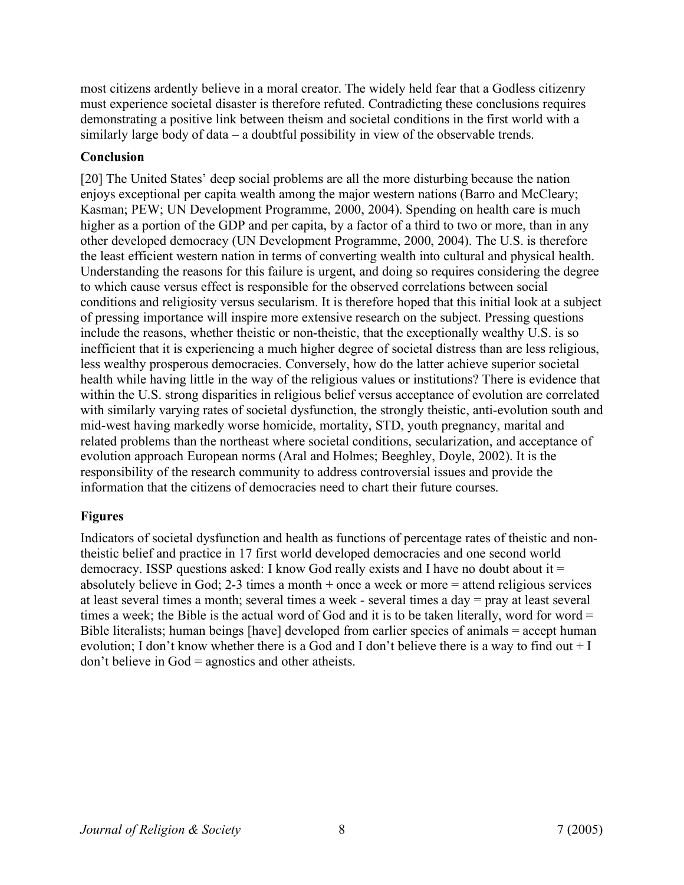most citizens ardently believe in a moral creator. The widely held fear that a Godless citizenry must experience societal disaster is therefore refuted. Contradicting these conclusions requires demonstrating a positive link between theism and societal conditions in the first world with a similarly large body of data – a doubtful possibility in view of the observable trends.

# **Conclusion**

[20] The United States' deep social problems are all the more disturbing because the nation enjoys exceptional per capita wealth among the major western nations (Barro and McCleary; Kasman; PEW; UN Development Programme, 2000, 2004). Spending on health care is much higher as a portion of the GDP and per capita, by a factor of a third to two or more, than in any other developed democracy (UN Development Programme, 2000, 2004). The U.S. is therefore the least efficient western nation in terms of converting wealth into cultural and physical health. Understanding the reasons for this failure is urgent, and doing so requires considering the degree to which cause versus effect is responsible for the observed correlations between social conditions and religiosity versus secularism. It is therefore hoped that this initial look at a subject of pressing importance will inspire more extensive research on the subject. Pressing questions include the reasons, whether theistic or non-theistic, that the exceptionally wealthy U.S. is so inefficient that it is experiencing a much higher degree of societal distress than are less religious, less wealthy prosperous democracies. Conversely, how do the latter achieve superior societal health while having little in the way of the religious values or institutions? There is evidence that within the U.S. strong disparities in religious belief versus acceptance of evolution are correlated with similarly varying rates of societal dysfunction, the strongly theistic, anti-evolution south and mid-west having markedly worse homicide, mortality, STD, youth pregnancy, marital and related problems than the northeast where societal conditions, secularization, and acceptance of evolution approach European norms (Aral and Holmes; Beeghley, Doyle, 2002). It is the responsibility of the research community to address controversial issues and provide the information that the citizens of democracies need to chart their future courses.

# **Figures**

Indicators of societal dysfunction and health as functions of percentage rates of theistic and nontheistic belief and practice in 17 first world developed democracies and one second world democracy. ISSP questions asked: I know God really exists and I have no doubt about it = absolutely believe in God; 2-3 times a month + once a week or more = attend religious services at least several times a month; several times a week - several times a day = pray at least several times a week; the Bible is the actual word of God and it is to be taken literally, word for word = Bible literalists; human beings [have] developed from earlier species of animals = accept human evolution; I don't know whether there is a God and I don't believe there is a way to find out + I don't believe in God = agnostics and other atheists.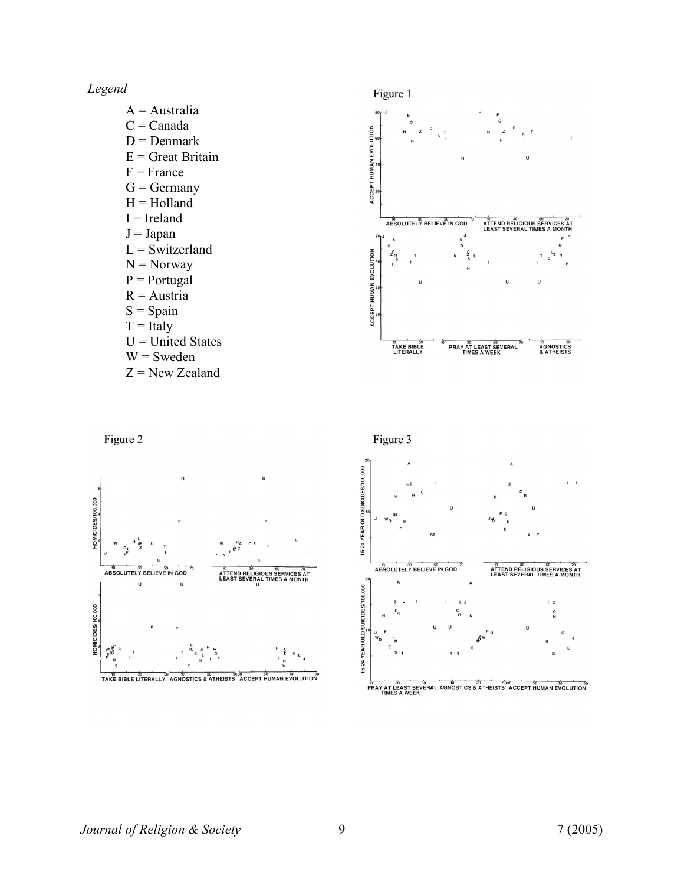*Legend*

HOMICIDES/100,000

HOMICIDES/100,000

wa di<br>E<sup>ZG</sup>



TAKE BIBLE LITERALLY AGNOSTICS & ATHEISTS ACCEPT HUMAN EVOLUTION

PRAY AT LEAST SEVERAL AGNOSTICS & ATHEISTS ACCEPT HUMAN EVOLUTION<br>THAY AT LEAST SEVERAL AGNOSTICS & ATHEISTS ACCEPT HUMAN EVOLUTION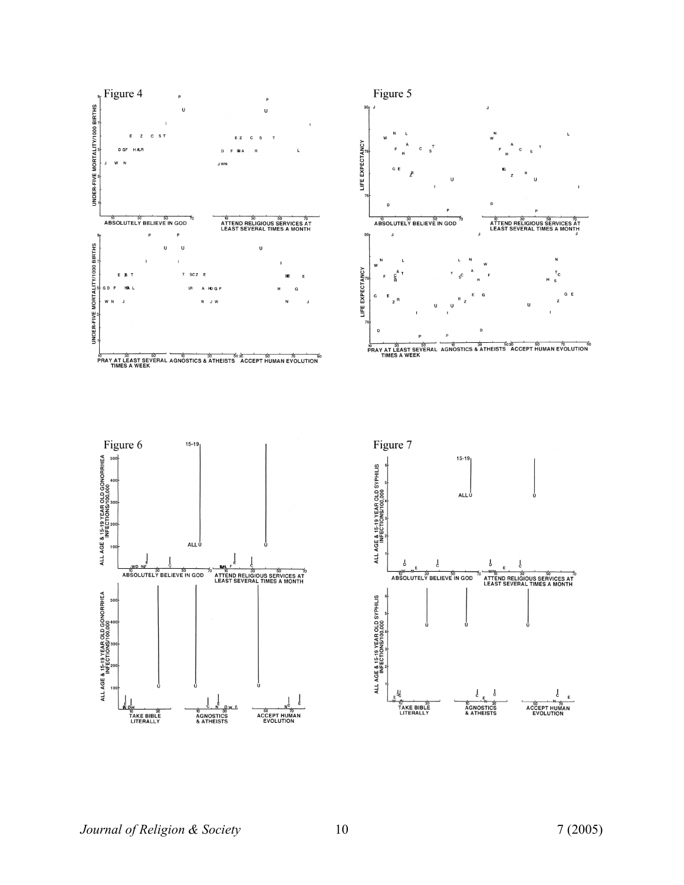

*Journal of Religion & Society* 10 7 (2005)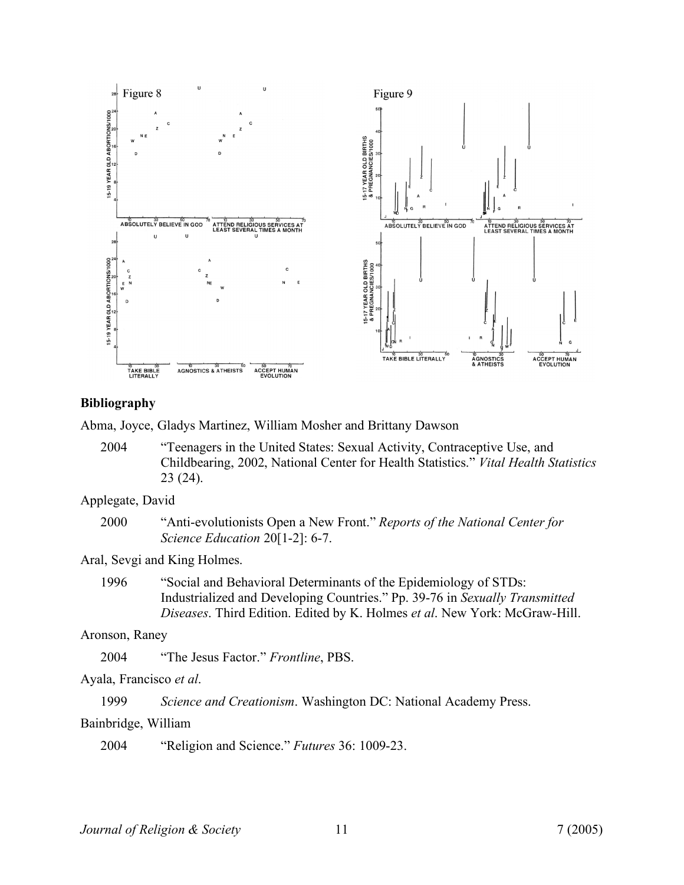

# **Bibliography**

Abma, Joyce, Gladys Martinez, William Mosher and Brittany Dawson

2004 "Teenagers in the United States: Sexual Activity, Contraceptive Use, and Childbearing, 2002, National Center for Health Statistics." *Vital Health Statistics* 23 (24).

# Applegate, David

2000 "Anti-evolutionists Open a New Front." *Reports of the National Center for Science Education* 20[1-2]: 6-7.

## Aral, Sevgi and King Holmes.

1996 "Social and Behavioral Determinants of the Epidemiology of STDs: Industrialized and Developing Countries." Pp. 39-76 in *Sexually Transmitted Diseases*. Third Edition. Edited by K. Holmes *et al*. New York: McGraw-Hill.

# Aronson, Raney

2004 "The Jesus Factor." *Frontline*, PBS.

Ayala, Francisco *et al*.

1999 *Science and Creationism*. Washington DC: National Academy Press.

# Bainbridge, William

2004 "Religion and Science." *Futures* 36: 1009-23.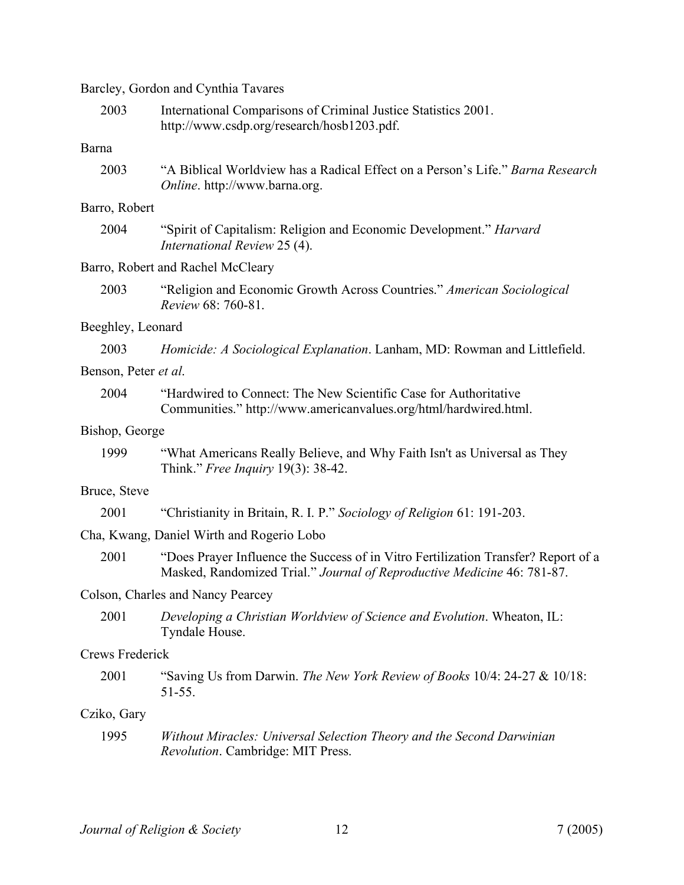Barcley, Gordon and Cynthia Tavares

| 2003                   | International Comparisons of Criminal Justice Statistics 2001.<br>http://www.csdp.org/research/hosb1203.pdf.                                                  |
|------------------------|---------------------------------------------------------------------------------------------------------------------------------------------------------------|
| Barna                  |                                                                                                                                                               |
| 2003                   | "A Biblical Worldview has a Radical Effect on a Person's Life." Barna Research<br>Online. http://www.barna.org.                                               |
| Barro, Robert          |                                                                                                                                                               |
| 2004                   | "Spirit of Capitalism: Religion and Economic Development." Harvard<br>International Review 25 (4).                                                            |
|                        | Barro, Robert and Rachel McCleary                                                                                                                             |
| 2003                   | "Religion and Economic Growth Across Countries." American Sociological<br>Review 68: 760-81.                                                                  |
| Beeghley, Leonard      |                                                                                                                                                               |
| 2003                   | Homicide: A Sociological Explanation. Lanham, MD: Rowman and Littlefield.                                                                                     |
| Benson, Peter et al.   |                                                                                                                                                               |
| 2004                   | "Hardwired to Connect: The New Scientific Case for Authoritative<br>Communities." http://www.americanvalues.org/html/hardwired.html.                          |
| Bishop, George         |                                                                                                                                                               |
| 1999                   | "What Americans Really Believe, and Why Faith Isn't as Universal as They<br>Think." Free Inquiry 19(3): 38-42.                                                |
| Bruce, Steve           |                                                                                                                                                               |
| 2001                   | "Christianity in Britain, R. I. P." Sociology of Religion 61: 191-203.                                                                                        |
|                        | Cha, Kwang, Daniel Wirth and Rogerio Lobo                                                                                                                     |
| 2001                   | "Does Prayer Influence the Success of in Vitro Fertilization Transfer? Report of a<br>Masked, Randomized Trial." Journal of Reproductive Medicine 46: 781-87. |
|                        | Colson, Charles and Nancy Pearcey                                                                                                                             |
| 2001                   | Developing a Christian Worldview of Science and Evolution. Wheaton, IL:<br>Tyndale House.                                                                     |
| <b>Crews Frederick</b> |                                                                                                                                                               |
| 2001                   | "Saving Us from Darwin. The New York Review of Books 10/4: 24-27 & 10/18:<br>51-55.                                                                           |
| Cziko, Gary            |                                                                                                                                                               |
| 1995                   | Without Miracles: Universal Selection Theory and the Second Darwinian<br>Revolution. Cambridge: MIT Press.                                                    |
|                        |                                                                                                                                                               |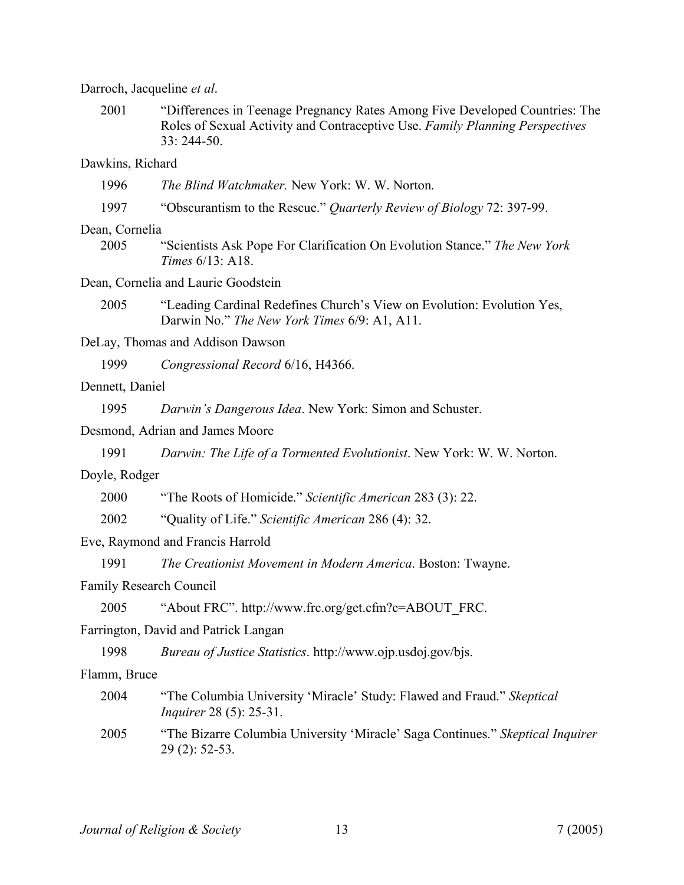| Darroch, Jacqueline et al. |  |  |  |  |
|----------------------------|--|--|--|--|
|----------------------------|--|--|--|--|

2001 "Differences in Teenage Pregnancy Rates Among Five Developed Countries: The Roles of Sexual Activity and Contraceptive Use. *Family Planning Perspectives* 33: 244-50.

# Dawkins, Richard

- 1996 *The Blind Watchmaker.* New York: W. W. Norton.
- 1997 "Obscurantism to the Rescue." *Quarterly Review of Biology* 72: 397-99.

## Dean, Cornelia

2005 "Scientists Ask Pope For Clarification On Evolution Stance." *The New York Times* 6/13: A18.

#### Dean, Cornelia and Laurie Goodstein

- 2005 "Leading Cardinal Redefines Church's View on Evolution: Evolution Yes, Darwin No." *The New York Times* 6/9: A1, A11.
- DeLay, Thomas and Addison Dawson

1999 *Congressional Record* 6/16, H4366.

# Dennett, Daniel

1995 *Darwin's Dangerous Idea*. New York: Simon and Schuster.

## Desmond, Adrian and James Moore

1991 *Darwin: The Life of a Tormented Evolutionist*. New York: W. W. Norton.

# Doyle, Rodger

- 2000 "The Roots of Homicide." *Scientific American* 283 (3): 22.
- 2002 "Quality of Life." *Scientific American* 286 (4): 32.

## Eve, Raymond and Francis Harrold

1991 *The Creationist Movement in Modern America*. Boston: Twayne.

# Family Research Council

2005 "About FRC". http://www.frc.org/get.cfm?c=ABOUT\_FRC.

#### Farrington, David and Patrick Langan

1998 *Bureau of Justice Statistics*. http://www.ojp.usdoj.gov/bjs.

#### Flamm, Bruce

- 2004 "The Columbia University 'Miracle' Study: Flawed and Fraud." *Skeptical Inquirer* 28 (5): 25-31.
- 2005 "The Bizarre Columbia University 'Miracle' Saga Continues." *Skeptical Inquirer* 29 (2): 52-53.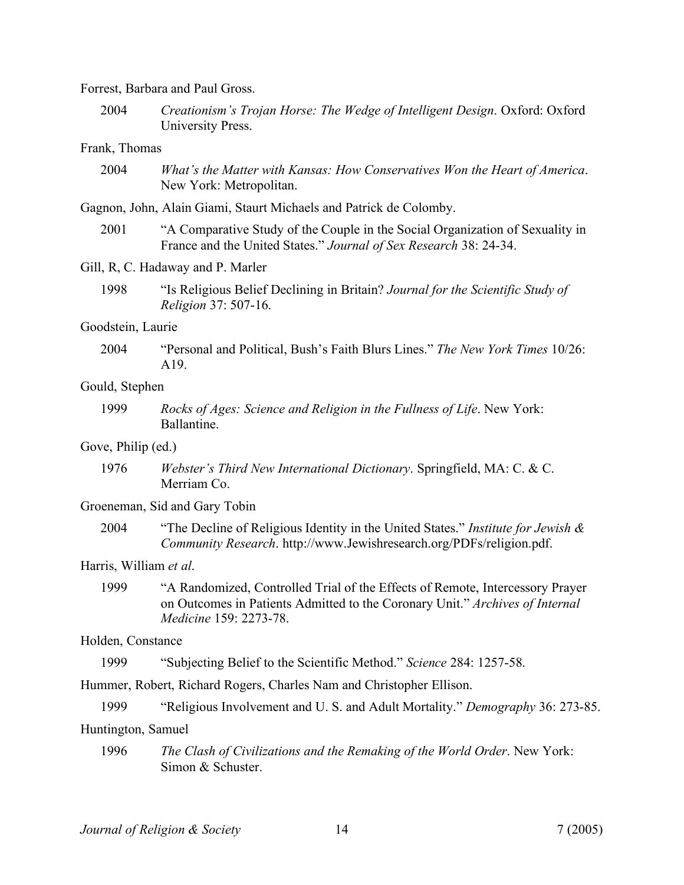#### Forrest, Barbara and Paul Gross.

2004 *Creationism's Trojan Horse: The Wedge of Intelligent Design*. Oxford: Oxford University Press.

# Frank, Thomas

2004 *What's the Matter with Kansas: How Conservatives Won the Heart of America*. New York: Metropolitan.

Gagnon, John, Alain Giami, Staurt Michaels and Patrick de Colomby.

2001 "A Comparative Study of the Couple in the Social Organization of Sexuality in France and the United States." *Journal of Sex Research* 38: 24-34.

# Gill, R, C. Hadaway and P. Marler

1998 "Is Religious Belief Declining in Britain? *Journal for the Scientific Study of Religion* 37: 507-16.

#### Goodstein, Laurie

2004 "Personal and Political, Bush's Faith Blurs Lines." *The New York Times* 10/26: A19.

# Gould, Stephen

1999 *Rocks of Ages: Science and Religion in the Fullness of Life*. New York: Ballantine.

# Gove, Philip (ed.)

1976 *Webster's Third New International Dictionary*. Springfield, MA: C. & C. Merriam Co.

## Groeneman, Sid and Gary Tobin

2004 "The Decline of Religious Identity in the United States." *Institute for Jewish & Community Research*. http://www.Jewishresearch.org/PDFs/religion.pdf.

### Harris, William *et al*.

1999 "A Randomized, Controlled Trial of the Effects of Remote, Intercessory Prayer on Outcomes in Patients Admitted to the Coronary Unit." *Archives of Internal Medicine* 159: 2273-78.

#### Holden, Constance

1999 "Subjecting Belief to the Scientific Method." *Science* 284: 1257-58.

Hummer, Robert, Richard Rogers, Charles Nam and Christopher Ellison.

1999 "Religious Involvement and U. S. and Adult Mortality." *Demography* 36: 273-85.

#### Huntington, Samuel

1996 *The Clash of Civilizations and the Remaking of the World Order*. New York: Simon & Schuster.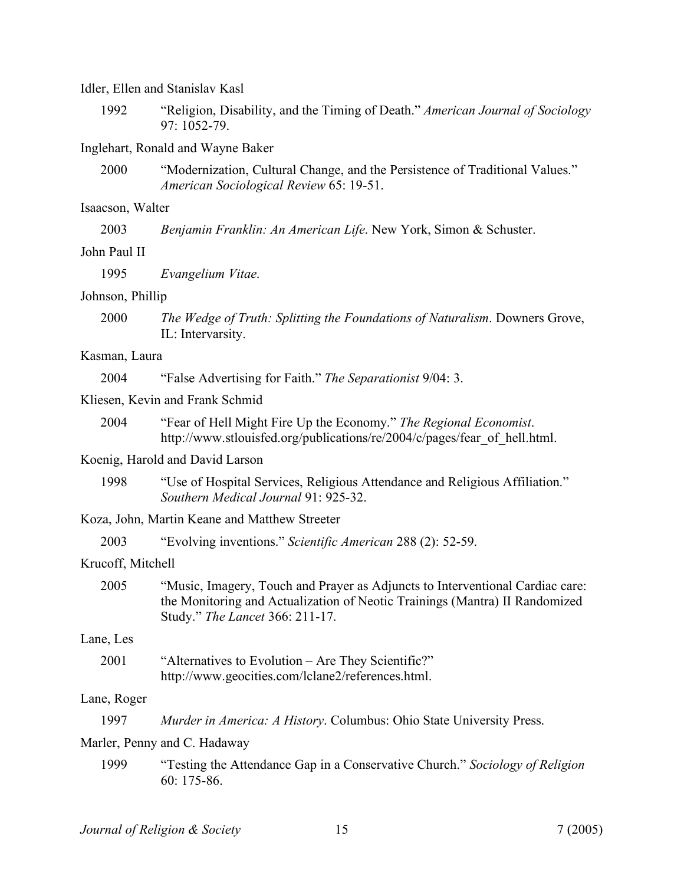#### Idler, Ellen and Stanislav Kasl

1992 "Religion, Disability, and the Timing of Death." *American Journal of Sociology* 97: 1052-79.

#### Inglehart, Ronald and Wayne Baker

2000 "Modernization, Cultural Change, and the Persistence of Traditional Values." *American Sociological Review* 65: 19-51.

#### Isaacson, Walter

| 2003 |  | Benjamin Franklin: An American Life. New York, Simon & Schuster. |  |  |
|------|--|------------------------------------------------------------------|--|--|
|      |  |                                                                  |  |  |

# John Paul II

1995 *Evangelium Vitae*.

#### Johnson, Phillip

2000 *The Wedge of Truth: Splitting the Foundations of Naturalism*. Downers Grove, IL: Intervarsity.

# Kasman, Laura

2004 "False Advertising for Faith." *The Separationist* 9/04: 3.

#### Kliesen, Kevin and Frank Schmid

2004 "Fear of Hell Might Fire Up the Economy." *The Regional Economist*. http://www.stlouisfed.org/publications/re/2004/c/pages/fear\_of\_hell.html.

## Koenig, Harold and David Larson

- 1998 "Use of Hospital Services, Religious Attendance and Religious Affiliation." *Southern Medical Journal* 91: 925-32.
- Koza, John, Martin Keane and Matthew Streeter
	- 2003 "Evolving inventions." *Scientific American* 288 (2): 52-59.

#### Krucoff, Mitchell

2005 "Music, Imagery, Touch and Prayer as Adjuncts to Interventional Cardiac care: the Monitoring and Actualization of Neotic Trainings (Mantra) II Randomized Study." *The Lancet* 366: 211-17.

# Lane, Les

2001 "Alternatives to Evolution – Are They Scientific?" http://www.geocities.com/lclane2/references.html.

#### Lane, Roger

| 1997<br><i>Murder in America: A History.</i> Columbus: Ohio State University Press. |
|-------------------------------------------------------------------------------------|
|-------------------------------------------------------------------------------------|

# Marler, Penny and C. Hadaway

1999 "Testing the Attendance Gap in a Conservative Church." *Sociology of Religion* 60: 175-86.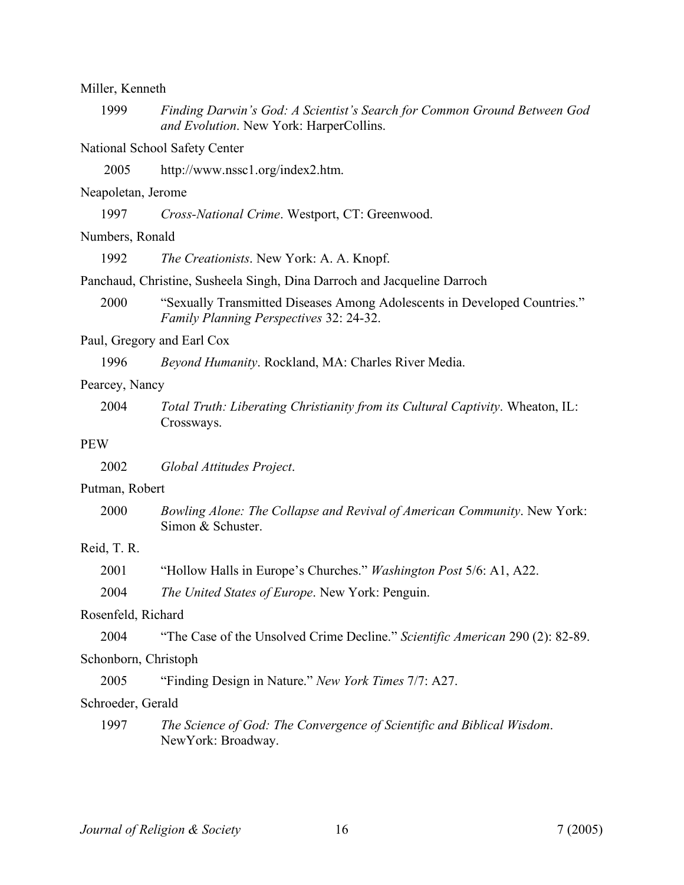# Miller, Kenneth 1999 *Finding Darwin's God: A Scientist's Search for Common Ground Between God and Evolution*. New York: HarperCollins. National School Safety Center 2005 http://www.nssc1.org/index2.htm. Neapoletan, Jerome 1997 *Cross-National Crime*. Westport, CT: Greenwood. Numbers, Ronald 1992 *The Creationists*. New York: A. A. Knopf. Panchaud, Christine, Susheela Singh, Dina Darroch and Jacqueline Darroch 2000 "Sexually Transmitted Diseases Among Adolescents in Developed Countries." *Family Planning Perspectives* 32: 24-32. Paul, Gregory and Earl Cox 1996 *Beyond Humanity*. Rockland, MA: Charles River Media. Pearcey, Nancy 2004 *Total Truth: Liberating Christianity from its Cultural Captivity*. Wheaton, IL: Crossways. PEW 2002 *Global Attitudes Project*. Putman, Robert 2000 *Bowling Alone: The Collapse and Revival of American Community*. New York: Simon & Schuster. Reid, T. R. 2001 "Hollow Halls in Europe's Churches." *Washington Post* 5/6: A1, A22. 2004 *The United States of Europe*. New York: Penguin. Rosenfeld, Richard 2004 "The Case of the Unsolved Crime Decline." *Scientific American* 290 (2): 82-89. Schonborn, Christoph 2005 "Finding Design in Nature." *New York Times* 7/7: A27. Schroeder, Gerald 1997 *The Science of God: The Convergence of Scientific and Biblical Wisdom*. NewYork: Broadway.